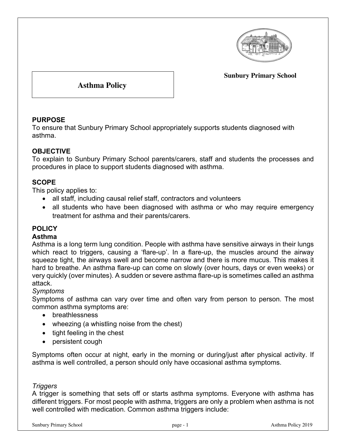

**Sunbury Primary School**

**Asthma Policy**

# **PURPOSE**

To ensure that Sunbury Primary School appropriately supports students diagnosed with asthma.

# **OBJECTIVE**

To explain to Sunbury Primary School parents/carers, staff and students the processes and procedures in place to support students diagnosed with asthma.

# **SCOPE**

This policy applies to:

- all staff, including causal relief staff, contractors and volunteers
- all students who have been diagnosed with asthma or who may require emergency treatment for asthma and their parents/carers.

# **POLICY**

#### **Asthma**

Asthma is a long term lung condition. People with asthma have sensitive airways in their lungs which react to triggers, causing a 'flare-up'. In a flare-up, the muscles around the airway squeeze tight, the airways swell and become narrow and there is more mucus. This makes it hard to breathe. An asthma flare-up can come on slowly (over hours, days or even weeks) or very quickly (over minutes). A sudden or severe asthma flare-up is sometimes called an asthma attack.

### *Symptoms*

Symptoms of asthma can vary over time and often vary from person to person. The most common asthma symptoms are:

- breathlessness
- wheezing (a whistling noise from the chest)
- tight feeling in the chest
- persistent cough

Symptoms often occur at night, early in the morning or during/just after physical activity. If asthma is well controlled, a person should only have occasional asthma symptoms.

### *Triggers*

A trigger is something that sets off or starts asthma symptoms. Everyone with asthma has different triggers. For most people with asthma, triggers are only a problem when asthma is not well controlled with medication. Common asthma triggers include: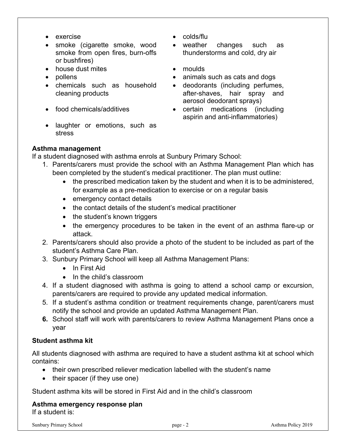- 
- smoke (cigarette smoke, wood smoke from open fires, burn-offs or bushfires)
- house dust mites moulds
- 
- chemicals such as household cleaning products
- 
- laughter or emotions, such as stress
- exercise colds/flu
	- weather changes such as thunderstorms and cold, dry air
	-
- pollens animals such as cats and dogs
	- deodorants (including perfumes, after-shaves, hair spray and aerosol deodorant sprays)
- food chemicals/additives certain medications (including aspirin and anti-inflammatories)

# **Asthma management**

If a student diagnosed with asthma enrols at Sunbury Primary School:

- 1. Parents/carers must provide the school with an Asthma Management Plan which has been completed by the student's medical practitioner. The plan must outline:
	- the prescribed medication taken by the student and when it is to be administered, for example as a pre-medication to exercise or on a regular basis
	- emergency contact details
	- the contact details of the student's medical practitioner
	- the student's known triggers
	- the emergency procedures to be taken in the event of an asthma flare-up or attack.
- 2. Parents/carers should also provide a photo of the student to be included as part of the student's Asthma Care Plan.
- 3. Sunbury Primary School will keep all Asthma Management Plans:
	- In First Aid
	- In the child's classroom
- 4. If a student diagnosed with asthma is going to attend a school camp or excursion, parents/carers are required to provide any updated medical information.
- 5. If a student's asthma condition or treatment requirements change, parent/carers must notify the school and provide an updated Asthma Management Plan.
- **6.** School staff will work with parents/carers to review Asthma Management Plans once a year

# **Student asthma kit**

All students diagnosed with asthma are required to have a student asthma kit at school which contains:

- their own prescribed reliever medication labelled with the student's name
- their spacer (if they use one)

Student asthma kits will be stored in First Aid and in the child's classroom

#### **Asthma emergency response plan** If a student is: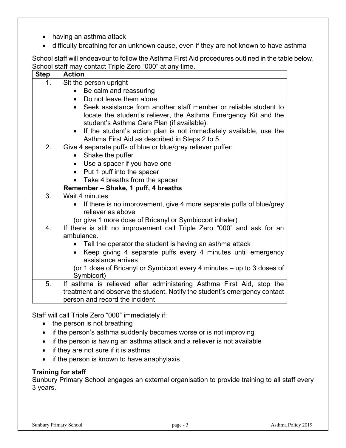- having an asthma attack
- difficulty breathing for an unknown cause, even if they are not known to have asthma

School staff will endeavour to follow the Asthma First Aid procedures outlined in the table below. School staff may contact Triple Zero "000" at any time.

| <b>Step</b> | <b>Action</b>                                                                                                 |
|-------------|---------------------------------------------------------------------------------------------------------------|
| 1.          | Sit the person upright                                                                                        |
|             | Be calm and reassuring                                                                                        |
|             | Do not leave them alone                                                                                       |
|             | Seek assistance from another staff member or reliable student to<br>$\bullet$                                 |
|             | locate the student's reliever, the Asthma Emergency Kit and the<br>student's Asthma Care Plan (if available). |
|             | If the student's action plan is not immediately available, use the<br>$\bullet$                               |
|             | Asthma First Aid as described in Steps 2 to 5.                                                                |
| 2.          | Give 4 separate puffs of blue or blue/grey reliever puffer:                                                   |
|             | Shake the puffer                                                                                              |
|             | Use a spacer if you have one                                                                                  |
|             | Put 1 puff into the spacer<br>$\bullet$                                                                       |
|             | Take 4 breaths from the spacer                                                                                |
|             | Remember - Shake, 1 puff, 4 breaths                                                                           |
| 3.          | Wait 4 minutes                                                                                                |
|             | If there is no improvement, give 4 more separate puffs of blue/grey                                           |
|             | reliever as above                                                                                             |
|             | (or give 1 more dose of Bricanyl or Symbiocort inhaler)                                                       |
| 4.          | If there is still no improvement call Triple Zero "000" and ask for an                                        |
|             | ambulance.                                                                                                    |
|             | Tell the operator the student is having an asthma attack<br>$\bullet$                                         |
|             | Keep giving 4 separate puffs every 4 minutes until emergency<br>$\bullet$                                     |
|             | assistance arrives                                                                                            |
|             | (or 1 dose of Bricanyl or Symbicort every 4 minutes - up to 3 doses of                                        |
|             | Symbicort)                                                                                                    |
| 5.          | If asthma is relieved after administering Asthma First Aid, stop the                                          |
|             | treatment and observe the student. Notify the student's emergency contact<br>person and record the incident   |
|             |                                                                                                               |

Staff will call Triple Zero "000" immediately if:

- the person is not breathing
- if the person's asthma suddenly becomes worse or is not improving
- if the person is having an asthma attack and a reliever is not available
- if they are not sure if it is asthma
- if the person is known to have anaphylaxis

### **Training for staff**

Sunbury Primary School engages an external organisation to provide training to all staff every 3 years.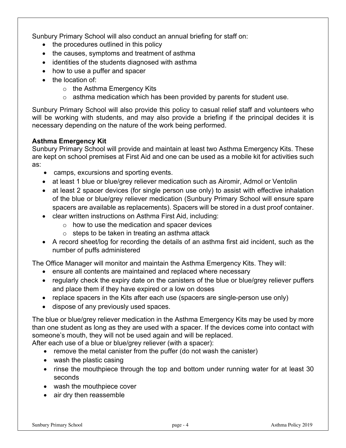Sunbury Primary School will also conduct an annual briefing for staff on:

- the procedures outlined in this policy
- the causes, symptoms and treatment of asthma
- identities of the students diagnosed with asthma
- how to use a puffer and spacer
- the location of:
	- o the Asthma Emergency Kits
	- o asthma medication which has been provided by parents for student use.

Sunbury Primary School will also provide this policy to casual relief staff and volunteers who will be working with students, and may also provide a briefing if the principal decides it is necessary depending on the nature of the work being performed.

# **Asthma Emergency Kit**

Sunbury Primary School will provide and maintain at least two Asthma Emergency Kits. These are kept on school premises at First Aid and one can be used as a mobile kit for activities such as:

- camps, excursions and sporting events.
- at least 1 blue or blue/grey reliever medication such as Airomir, Admol or Ventolin
- at least 2 spacer devices (for single person use only) to assist with effective inhalation of the blue or blue/grey reliever medication (Sunbury Primary School will ensure spare spacers are available as replacements). Spacers will be stored in a dust proof container.
- clear written instructions on Asthma First Aid, including:
	- o how to use the medication and spacer devices
	- $\circ$  steps to be taken in treating an asthma attack
- A record sheet/log for recording the details of an asthma first aid incident, such as the number of puffs administered

The Office Manager will monitor and maintain the Asthma Emergency Kits. They will:

- ensure all contents are maintained and replaced where necessary
- regularly check the expiry date on the canisters of the blue or blue/grey reliever puffers and place them if they have expired or a low on doses
- replace spacers in the Kits after each use (spacers are single-person use only)
- dispose of any previously used spaces.

The blue or blue/grey reliever medication in the Asthma Emergency Kits may be used by more than one student as long as they are used with a spacer. If the devices come into contact with someone's mouth, they will not be used again and will be replaced.

After each use of a blue or blue/grey reliever (with a spacer):

- remove the metal canister from the puffer (do not wash the canister)
- wash the plastic casing
- rinse the mouthpiece through the top and bottom under running water for at least 30 seconds
- wash the mouthpiece cover
- air dry then reassemble